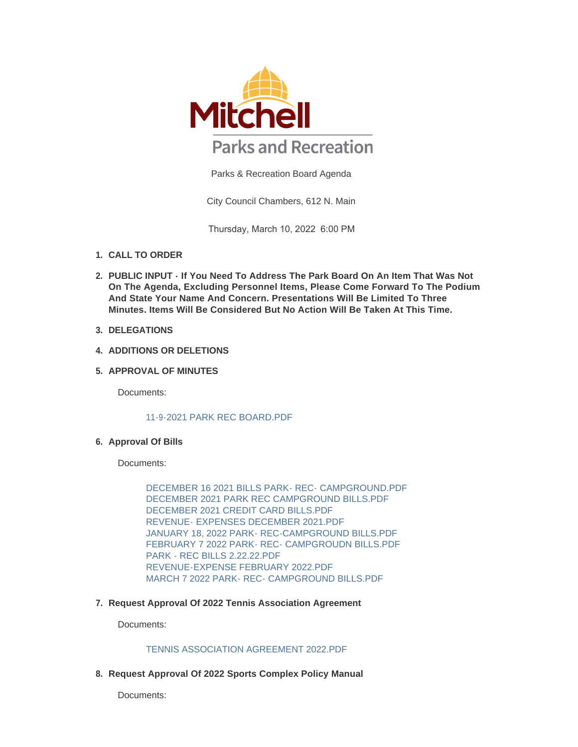

Parks & Recreation Board Agenda

City Council Chambers, 612 N. Main

Thursday, March 10, 2022 6:00 PM

- **CALL TO ORDER 1.**
- **PUBLIC INPUT If You Need To Address The Park Board On An Item That Was Not 2. On The Agenda, Excluding Personnel Items, Please Come Forward To The Podium And State Your Name And Concern. Presentations Will Be Limited To Three Minutes. Items Will Be Considered But No Action Will Be Taken At This Time.**
- **DELEGATIONS 3.**
- **4. ADDITIONS OR DELETIONS**
- **APPROVAL OF MINUTES 5.**

Documents:

#### [11-9-2021 PARK REC BOARD.PDF](https://www.cityofmitchell.org/AgendaCenter/ViewFile/Item/13289?fileID=18629)

#### **Approval Of Bills 6.**

Documents:

[DECEMBER 16 2021 BILLS PARK- REC- CAMPGROUND.PDF](https://www.cityofmitchell.org/AgendaCenter/ViewFile/Item/13317?fileID=18713) [DECEMBER 2021 PARK REC CAMPGROUND BILLS.PDF](https://www.cityofmitchell.org/AgendaCenter/ViewFile/Item/13317?fileID=18714) [DECEMBER 2021 CREDIT CARD BILLS.PDF](https://www.cityofmitchell.org/AgendaCenter/ViewFile/Item/13317?fileID=18715) [REVENUE- EXPENSES DECEMBER 2021.PDF](https://www.cityofmitchell.org/AgendaCenter/ViewFile/Item/13317?fileID=18716) [JANUARY 18, 2022 PARK- REC-CAMPGROUND BILLS.PDF](https://www.cityofmitchell.org/AgendaCenter/ViewFile/Item/13317?fileID=18717) [FEBRUARY 7 2022 PARK- REC- CAMPGROUDN BILLS.PDF](https://www.cityofmitchell.org/AgendaCenter/ViewFile/Item/13317?fileID=18719) [PARK - REC BILLS 2.22.22.PDF](https://www.cityofmitchell.org/AgendaCenter/ViewFile/Item/13317?fileID=18720) [REVENUE-EXPENSE FEBRUARY 2022.PDF](https://www.cityofmitchell.org/AgendaCenter/ViewFile/Item/13317?fileID=18722) MARCH 7 2022 PARK- REC- CAMPGROUND BILLS PDF

**Request Approval Of 2022 Tennis Association Agreement 7.**

Documents:

# [TENNIS ASSOCIATION AGREEMENT 2022.PDF](https://www.cityofmitchell.org/AgendaCenter/ViewFile/Item/13290?fileID=18630)

**Request Approval Of 2022 Sports Complex Policy Manual 8.**

Documents: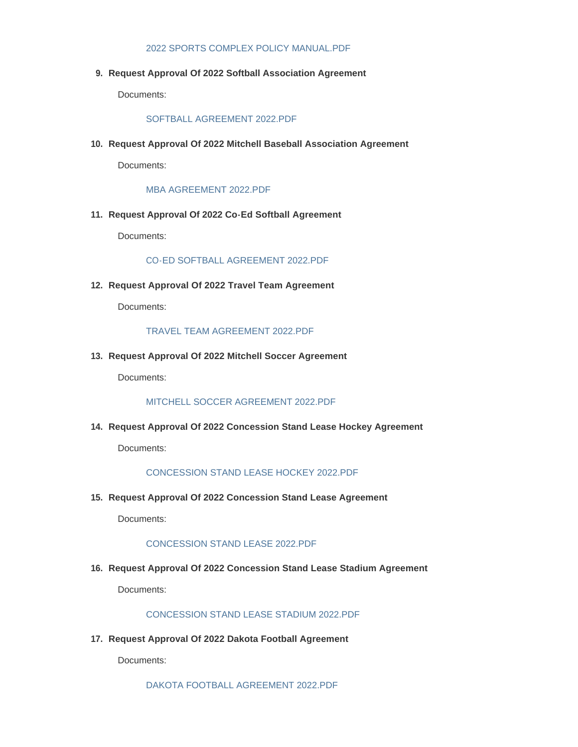#### [2022 SPORTS COMPLEX POLICY MANUAL.PDF](https://www.cityofmitchell.org/AgendaCenter/ViewFile/Item/13304?fileID=18695)

**Request Approval Of 2022 Softball Association Agreement 9.**

Documents:

## [SOFTBALL AGREEMENT 2022.PDF](https://www.cityofmitchell.org/AgendaCenter/ViewFile/Item/13314?fileID=18705)

**Request Approval Of 2022 Mitchell Baseball Association Agreement 10.**

Documents:

[MBA AGREEMENT 2022.PDF](https://www.cityofmitchell.org/AgendaCenter/ViewFile/Item/13308?fileID=18699)

**Request Approval Of 2022 Co-Ed Softball Agreement 11.**

Documents:

[CO-ED SOFTBALL AGREEMENT 2022.PDF](https://www.cityofmitchell.org/AgendaCenter/ViewFile/Item/13302?fileID=18693)

**Request Approval Of 2022 Travel Team Agreement 12.**

Documents:

#### [TRAVEL TEAM AGREEMENT 2022.PDF](https://www.cityofmitchell.org/AgendaCenter/ViewFile/Item/13313?fileID=18704)

**Request Approval Of 2022 Mitchell Soccer Agreement 13.**

Documents:

[MITCHELL SOCCER AGREEMENT 2022.PDF](https://www.cityofmitchell.org/AgendaCenter/ViewFile/Item/13307?fileID=18698)

**Request Approval Of 2022 Concession Stand Lease Hockey Agreement 14.**

Documents:

# [CONCESSION STAND LEASE HOCKEY 2022.PDF](https://www.cityofmitchell.org/AgendaCenter/ViewFile/Item/13311?fileID=18702)

**Request Approval Of 2022 Concession Stand Lease Agreement 15.**

Documents:

# [CONCESSION STAND LEASE 2022.PDF](https://www.cityofmitchell.org/AgendaCenter/ViewFile/Item/13312?fileID=18703)

**Request Approval Of 2022 Concession Stand Lease Stadium Agreement 16.**

Documents:

[CONCESSION STAND LEASE STADIUM 2022.PDF](https://www.cityofmitchell.org/AgendaCenter/ViewFile/Item/13310?fileID=18701)

**Request Approval Of 2022 Dakota Football Agreement 17.**

Documents:

[DAKOTA FOOTBALL AGREEMENT 2022.PDF](https://www.cityofmitchell.org/AgendaCenter/ViewFile/Item/13309?fileID=18700)